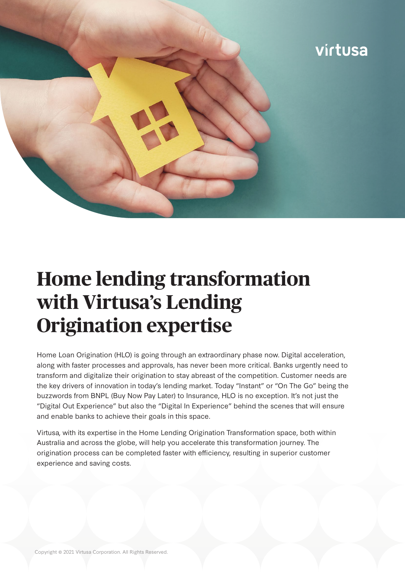

# **Home lending transformation with Virtusa's Lending Origination expertise**

Home Loan Origination (HLO) is going through an extraordinary phase now. Digital acceleration, along with faster processes and approvals, has never been more critical. Banks urgently need to transform and digitalize their origination to stay abreast of the competition. Customer needs are the key drivers of innovation in today's lending market. Today "Instant" or "On The Go" being the buzzwords from BNPL (Buy Now Pay Later) to Insurance, HLO is no exception. It's not just the "Digital Out Experience" but also the "Digital In Experience" behind the scenes that will ensure and enable banks to achieve their goals in this space.

Virtusa, with its expertise in the Home Lending Origination Transformation space, both within Australia and across the globe, will help you accelerate this transformation journey. The origination process can be completed faster with efficiency, resulting in superior customer experience and saving costs.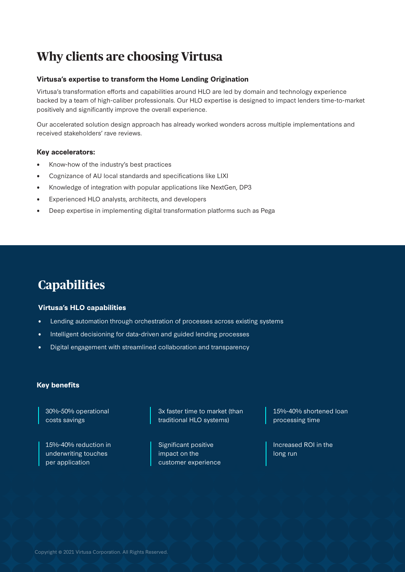# **Why clients are choosing Virtusa**

#### **Virtusa's expertise to transform the Home Lending Origination**

Virtusa's transformation efforts and capabilities around HLO are led by domain and technology experience backed by a team of high-caliber professionals. Our HLO expertise is designed to impact lenders time-to-market positively and significantly improve the overall experience.

Our accelerated solution design approach has already worked wonders across multiple implementations and received stakeholders' rave reviews.

#### **Key accelerators:**

- Know-how of the industry's best practices
- Cognizance of AU local standards and specifications like LIXI
- Knowledge of integration with popular applications like NextGen, DP3
- Experienced HLO analysts, architects, and developers
- Deep expertise in implementing digital transformation platforms such as Pega

## **Capabilities**

#### **Virtusa's HLO capabilities**

- Lending automation through orchestration of processes across existing systems
- Intelligent decisioning for data-driven and guided lending processes
- Digital engagement with streamlined collaboration and transparency

#### **Key benefits**

30%-50% operational costs savings

15%-40% reduction in underwriting touches per application

3x faster time to market (than traditional HLO systems)

Significant positive impact on the customer experience 15%-40% shortened loan processing time

Increased ROI in the long run